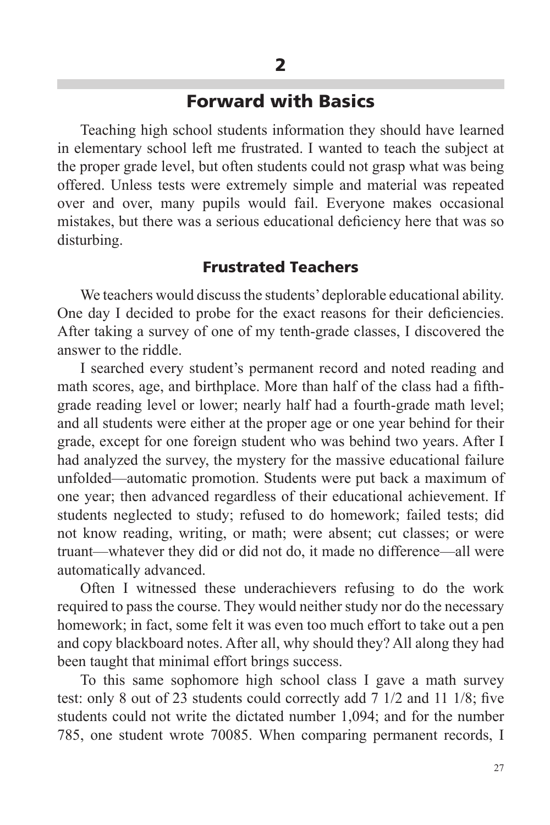Teaching high school students information they should have learned in elementary school left me frustrated. I wanted to teach the subject at the proper grade level, but often students could not grasp what was being offered. Unless tests were extremely simple and material was repeated over and over, many pupils would fail. Everyone makes occasional mistakes, but there was a serious educational deficiency here that was so disturbing.

### Frustrated Teachers

We teachers would discuss the students' deplorable educational ability. One day I decided to probe for the exact reasons for their deficiencies. After taking a survey of one of my tenth-grade classes, I discovered the answer to the riddle.

I searched every student's permanent record and noted reading and math scores, age, and birthplace. More than half of the class had a fifthgrade reading level or lower; nearly half had a fourth-grade math level; and all students were either at the proper age or one year behind for their grade, except for one foreign student who was behind two years. After I had analyzed the survey, the mystery for the massive educational failure unfolded—automatic promotion. Students were put back a maximum of one year; then advanced regardless of their educational achievement. If students neglected to study; refused to do homework; failed tests; did not know reading, writing, or math; were absent; cut classes; or were truant—whatever they did or did not do, it made no difference—all were automatically advanced.

Often I witnessed these underachievers refusing to do the work required to pass the course. They would neither study nor do the necessary homework; in fact, some felt it was even too much effort to take out a pen and copy blackboard notes. After all, why should they? All along they had been taught that minimal effort brings success.

To this same sophomore high school class I gave a math survey test: only 8 out of 23 students could correctly add 7 1/2 and 11 1/8; five students could not write the dictated number 1,094; and for the number 785, one student wrote 70085. When comparing permanent records, I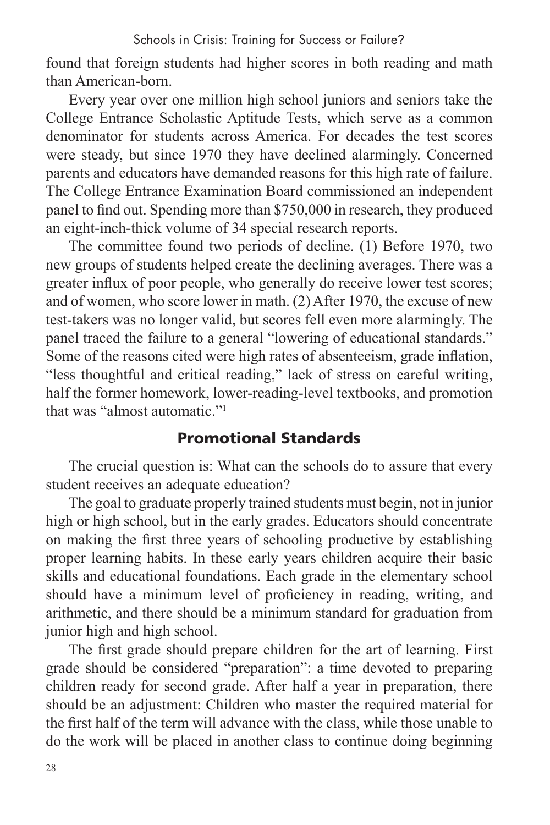found that foreign students had higher scores in both reading and math than American-born.

Every year over one million high school juniors and seniors take the College Entrance Scholastic Aptitude Tests, which serve as a common denominator for students across America. For decades the test scores were steady, but since 1970 they have declined alarmingly. Concerned parents and educators have demanded reasons for this high rate of failure. The College Entrance Examination Board commissioned an independent panel to find out. Spending more than \$750,000 in research, they produced an eight-inch-thick volume of 34 special research reports.

The committee found two periods of decline. (1) Before 1970, two new groups of students helped create the declining averages. There was a greater influx of poor people, who generally do receive lower test scores; and of women, who score lower in math. (2) After 1970, the excuse of new test-takers was no longer valid, but scores fell even more alarmingly. The panel traced the failure to a general "lowering of educational standards." Some of the reasons cited were high rates of absenteeism, grade inflation, "less thoughtful and critical reading," lack of stress on careful writing, half the former homework, lower-reading-level textbooks, and promotion that was "almost automatic."<sup>1</sup>

### Promotional Standards

The crucial question is: What can the schools do to assure that every student receives an adequate education?

The goal to graduate properly trained students must begin, not in junior high or high school, but in the early grades. Educators should concentrate on making the first three years of schooling productive by establishing proper learning habits. In these early years children acquire their basic skills and educational foundations. Each grade in the elementary school should have a minimum level of proficiency in reading, writing, and arithmetic, and there should be a minimum standard for graduation from junior high and high school.

The first grade should prepare children for the art of learning. First grade should be considered "preparation": a time devoted to preparing children ready for second grade. After half a year in preparation, there should be an adjustment: Children who master the required material for the first half of the term will advance with the class, while those unable to do the work will be placed in another class to continue doing beginning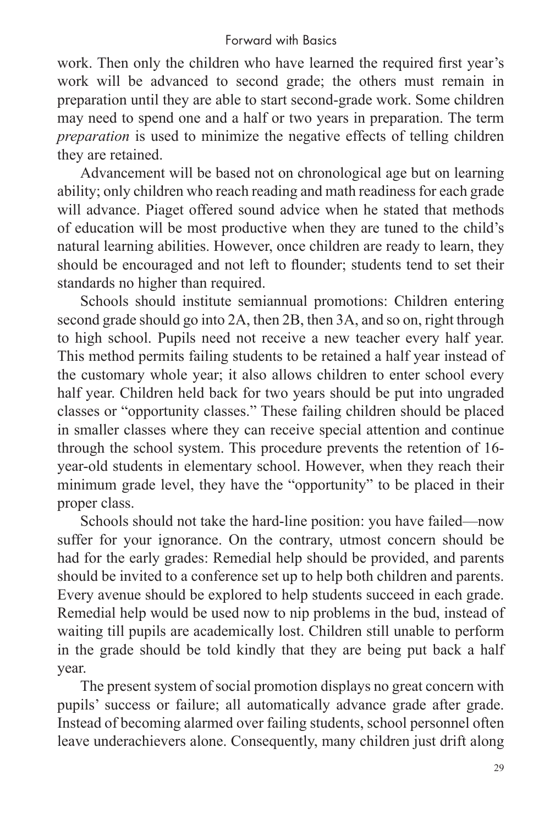work. Then only the children who have learned the required first year's work will be advanced to second grade; the others must remain in preparation until they are able to start second-grade work. Some children may need to spend one and a half or two years in preparation. The term *preparation* is used to minimize the negative effects of telling children they are retained.

Advancement will be based not on chronological age but on learning ability; only children who reach reading and math readiness for each grade will advance. Piaget offered sound advice when he stated that methods of education will be most productive when they are tuned to the child's natural learning abilities. However, once children are ready to learn, they should be encouraged and not left to flounder; students tend to set their standards no higher than required.

Schools should institute semiannual promotions: Children entering second grade should go into 2A, then 2B, then 3A, and so on, right through to high school. Pupils need not receive a new teacher every half year. This method permits failing students to be retained a half year instead of the customary whole year; it also allows children to enter school every half year. Children held back for two years should be put into ungraded classes or "opportunity classes." These failing children should be placed in smaller classes where they can receive special attention and continue through the school system. This procedure prevents the retention of 16 year-old students in elementary school. However, when they reach their minimum grade level, they have the "opportunity" to be placed in their proper class.

Schools should not take the hard-line position: you have failed—now suffer for your ignorance. On the contrary, utmost concern should be had for the early grades: Remedial help should be provided, and parents should be invited to a conference set up to help both children and parents. Every avenue should be explored to help students succeed in each grade. Remedial help would be used now to nip problems in the bud, instead of waiting till pupils are academically lost. Children still unable to perform in the grade should be told kindly that they are being put back a half year.

The present system of social promotion displays no great concern with pupils' success or failure; all automatically advance grade after grade. Instead of becoming alarmed over failing students, school personnel often leave underachievers alone. Consequently, many children just drift along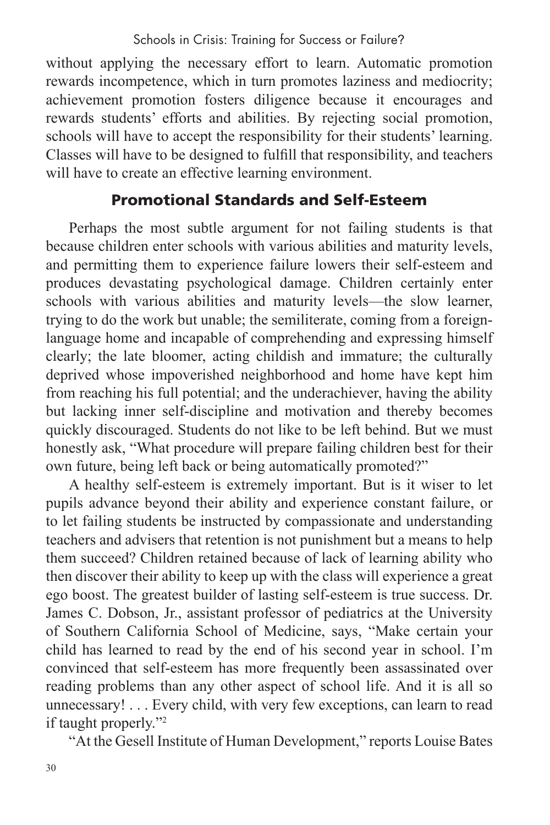without applying the necessary effort to learn. Automatic promotion rewards incompetence, which in turn promotes laziness and mediocrity; achievement promotion fosters diligence because it encourages and rewards students' efforts and abilities. By rejecting social promotion, schools will have to accept the responsibility for their students' learning. Classes will have to be designed to fulfill that responsibility, and teachers will have to create an effective learning environment.

# Promotional Standards and Self-Esteem

Perhaps the most subtle argument for not failing students is that because children enter schools with various abilities and maturity levels, and permitting them to experience failure lowers their self-esteem and produces devastating psychological damage. Children certainly enter schools with various abilities and maturity levels—the slow learner, trying to do the work but unable; the semiliterate, coming from a foreignlanguage home and incapable of comprehending and expressing himself clearly; the late bloomer, acting childish and immature; the culturally deprived whose impoverished neighborhood and home have kept him from reaching his full potential; and the underachiever, having the ability but lacking inner self-discipline and motivation and thereby becomes quickly discouraged. Students do not like to be left behind. But we must honestly ask, "What procedure will prepare failing children best for their own future, being left back or being automatically promoted?"

A healthy self-esteem is extremely important. But is it wiser to let pupils advance beyond their ability and experience constant failure, or to let failing students be instructed by compassionate and understanding teachers and advisers that retention is not punishment but a means to help them succeed? Children retained because of lack of learning ability who then discover their ability to keep up with the class will experience a great ego boost. The greatest builder of lasting self-esteem is true success. Dr. James C. Dobson, Jr., assistant professor of pediatrics at the University of Southern California School of Medicine, says, "Make certain your child has learned to read by the end of his second year in school. I'm convinced that self-esteem has more frequently been assassinated over reading problems than any other aspect of school life. And it is all so unnecessary! . . . Every child, with very few exceptions, can learn to read if taught properly."2

"At the Gesell Institute of Human Development," reports Louise Bates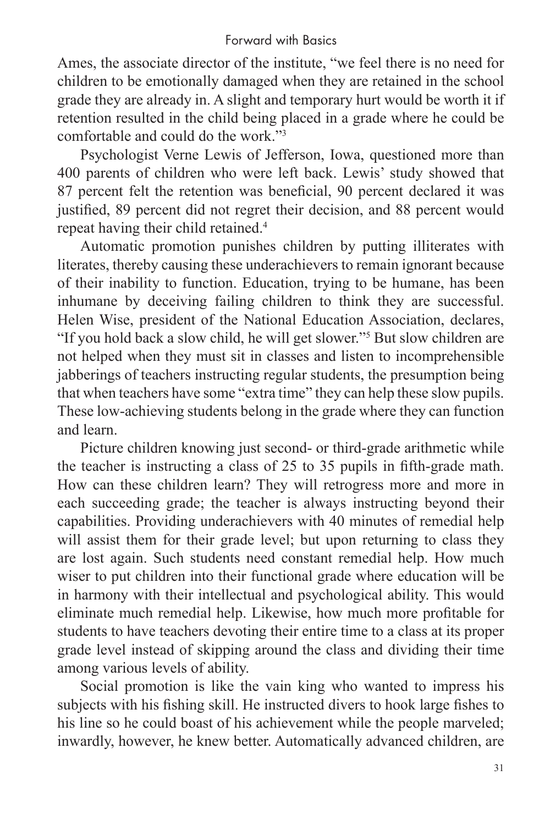Ames, the associate director of the institute, "we feel there is no need for children to be emotionally damaged when they are retained in the school grade they are already in. A slight and temporary hurt would be worth it if retention resulted in the child being placed in a grade where he could be comfortable and could do the work."3

Psychologist Verne Lewis of Jefferson, Iowa, questioned more than 400 parents of children who were left back. Lewis' study showed that 87 percent felt the retention was beneficial, 90 percent declared it was justified, 89 percent did not regret their decision, and 88 percent would repeat having their child retained.4

Automatic promotion punishes children by putting illiterates with literates, thereby causing these underachievers to remain ignorant because of their inability to function. Education, trying to be humane, has been inhumane by deceiving failing children to think they are successful. Helen Wise, president of the National Education Association, declares, "If you hold back a slow child, he will get slower."5 But slow children are not helped when they must sit in classes and listen to incomprehensible jabberings of teachers instructing regular students, the presumption being that when teachers have some "extra time" they can help these slow pupils. These low-achieving students belong in the grade where they can function and learn.

Picture children knowing just second- or third-grade arithmetic while the teacher is instructing a class of 25 to 35 pupils in fifth-grade math. How can these children learn? They will retrogress more and more in each succeeding grade; the teacher is always instructing beyond their capabilities. Providing underachievers with 40 minutes of remedial help will assist them for their grade level; but upon returning to class they are lost again. Such students need constant remedial help. How much wiser to put children into their functional grade where education will be in harmony with their intellectual and psychological ability. This would eliminate much remedial help. Likewise, how much more profitable for students to have teachers devoting their entire time to a class at its proper grade level instead of skipping around the class and dividing their time among various levels of ability.

Social promotion is like the vain king who wanted to impress his subjects with his fishing skill. He instructed divers to hook large fishes to his line so he could boast of his achievement while the people marveled; inwardly, however, he knew better. Automatically advanced children, are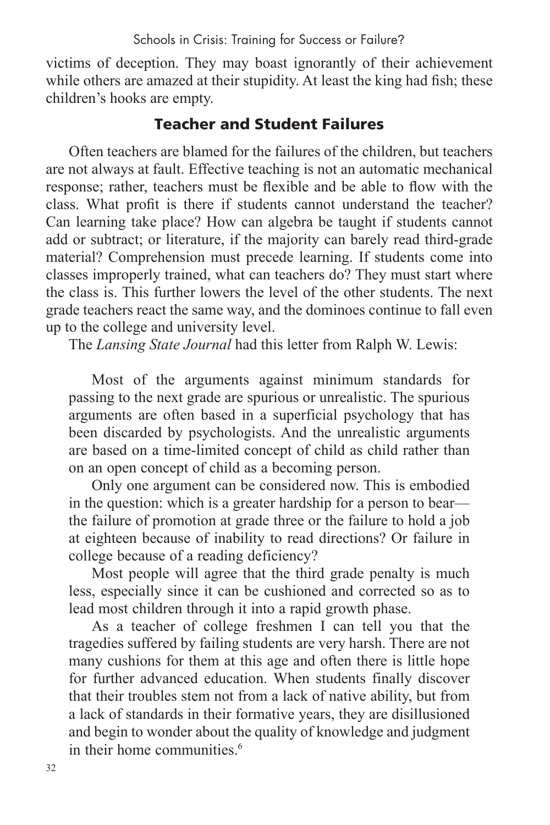victims of deception. They may boast ignorantly of their achievement while others are amazed at their stupidity. At least the king had fish; these children's hooks are empty.

# Teacher and Student Failures

Often teachers are blamed for the failures of the children, but teachers are not always at fault. Effective teaching is not an automatic mechanical response; rather, teachers must be flexible and be able to flow with the class. What profit is there if students cannot understand the teacher? Can learning take place? How can algebra be taught if students cannot add or subtract; or literature, if the majority can barely read third-grade material? Comprehension must precede learning. If students come into classes improperly trained, what can teachers do? They must start where the class is. This further lowers the level of the other students. The next grade teachers react the same way, and the dominoes continue to fall even up to the college and university level.

The *Lansing State Journal* had this letter from Ralph W. Lewis:

Most of the arguments against minimum standards for passing to the next grade are spurious or unrealistic. The spurious arguments are often based in a superficial psychology that has been discarded by psychologists. And the unrealistic arguments are based on a time-limited concept of child as child rather than on an open concept of child as a becoming person.

Only one argument can be considered now. This is embodied in the question: which is a greater hardship for a person to bear the failure of promotion at grade three or the failure to hold a job at eighteen because of inability to read directions? Or failure in college because of a reading deficiency?

Most people will agree that the third grade penalty is much less, especially since it can be cushioned and corrected so as to lead most children through it into a rapid growth phase.

As a teacher of college freshmen I can tell you that the tragedies suffered by failing students are very harsh. There are not many cushions for them at this age and often there is little hope for further advanced education. When students finally discover that their troubles stem not from a lack of native ability, but from a lack of standards in their formative years, they are disillusioned and begin to wonder about the quality of knowledge and judgment in their home communities. $6$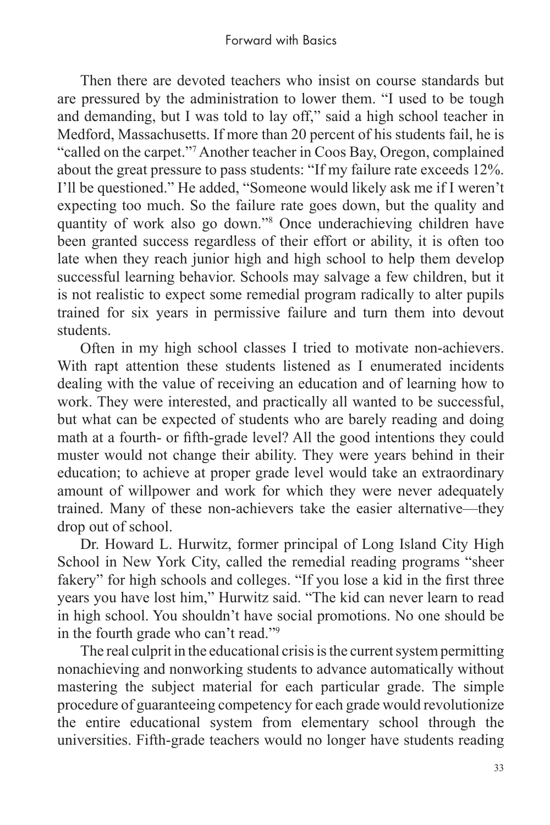Then there are devoted teachers who insist on course standards but are pressured by the administration to lower them. "I used to be tough and demanding, but I was told to lay off," said a high school teacher in Medford, Massachusetts. If more than 20 percent of his students fail, he is "called on the carpet."7 Another teacher in Coos Bay, Oregon, complained about the great pressure to pass students: "If my failure rate exceeds 12%. I'll be questioned." He added, "Someone would likely ask me if I weren't expecting too much. So the failure rate goes down, but the quality and quantity of work also go down."8 Once underachieving children have been granted success regardless of their effort or ability, it is often too late when they reach junior high and high school to help them develop successful learning behavior. Schools may salvage a few children, but it is not realistic to expect some remedial program radically to alter pupils trained for six years in permissive failure and turn them into devout students.

Often in my high school classes I tried to motivate non-achievers. With rapt attention these students listened as I enumerated incidents dealing with the value of receiving an education and of learning how to work. They were interested, and practically all wanted to be successful, but what can be expected of students who are barely reading and doing math at a fourth- or fifth-grade level? All the good intentions they could muster would not change their ability. They were years behind in their education; to achieve at proper grade level would take an extraordinary amount of willpower and work for which they were never adequately trained. Many of these non-achievers take the easier alternative—they drop out of school.

Dr. Howard L. Hurwitz, former principal of Long Island City High School in New York City, called the remedial reading programs "sheer fakery" for high schools and colleges. "If you lose a kid in the first three years you have lost him," Hurwitz said. "The kid can never learn to read in high school. You shouldn't have social promotions. No one should be in the fourth grade who can't read."9

The real culprit in the educational crisis is the current system permitting nonachieving and nonworking students to advance automatically without mastering the subject material for each particular grade. The simple procedure of guaranteeing competency for each grade would revolutionize the entire educational system from elementary school through the universities. Fifth-grade teachers would no longer have students reading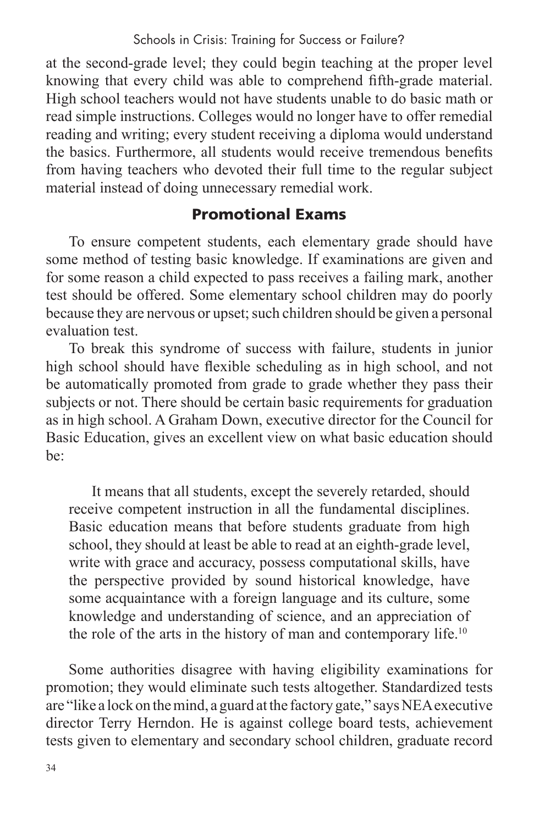at the second-grade level; they could begin teaching at the proper level knowing that every child was able to comprehend fifth-grade material. High school teachers would not have students unable to do basic math or read simple instructions. Colleges would no longer have to offer remedial reading and writing; every student receiving a diploma would understand the basics. Furthermore, all students would receive tremendous benefits from having teachers who devoted their full time to the regular subject material instead of doing unnecessary remedial work.

# Promotional Exams

To ensure competent students, each elementary grade should have some method of testing basic knowledge. If examinations are given and for some reason a child expected to pass receives a failing mark, another test should be offered. Some elementary school children may do poorly because they are nervous or upset; such children should be given a personal evaluation test.

To break this syndrome of success with failure, students in junior high school should have flexible scheduling as in high school, and not be automatically promoted from grade to grade whether they pass their subjects or not. There should be certain basic requirements for graduation as in high school. A Graham Down, executive director for the Council for Basic Education, gives an excellent view on what basic education should be:

It means that all students, except the severely retarded, should receive competent instruction in all the fundamental disciplines. Basic education means that before students graduate from high school, they should at least be able to read at an eighth-grade level, write with grace and accuracy, possess computational skills, have the perspective provided by sound historical knowledge, have some acquaintance with a foreign language and its culture, some knowledge and understanding of science, and an appreciation of the role of the arts in the history of man and contemporary life.<sup>10</sup>

Some authorities disagree with having eligibility examinations for promotion; they would eliminate such tests altogether. Standardized tests are "like a lock on the mind, a guard at the factory gate," says NEA executive director Terry Herndon. He is against college board tests, achievement tests given to elementary and secondary school children, graduate record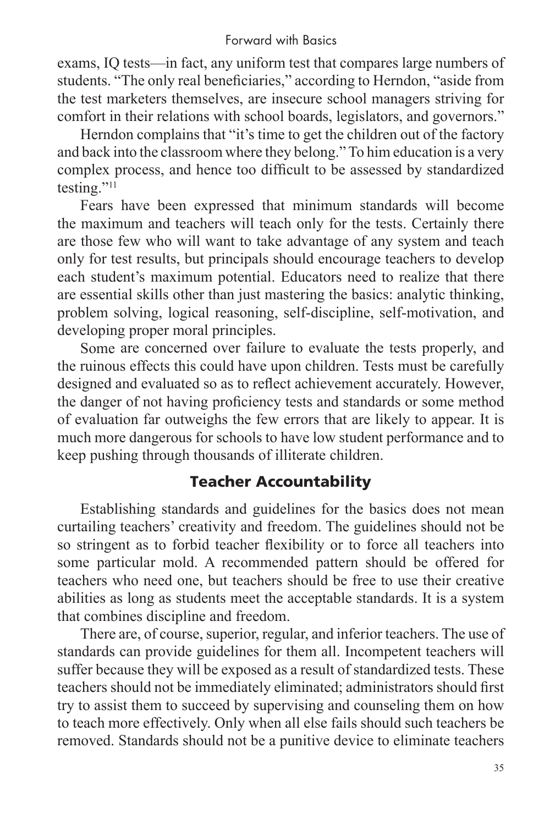exams, IQ tests—in fact, any uniform test that compares large numbers of students. "The only real beneficiaries," according to Herndon, "aside from the test marketers themselves, are insecure school managers striving for comfort in their relations with school boards, legislators, and governors."

Herndon complains that "it's time to get the children out of the factory and back into the classroom where they belong." To him education is a very complex process, and hence too difficult to be assessed by standardized testing."11

Fears have been expressed that minimum standards will become the maximum and teachers will teach only for the tests. Certainly there are those few who will want to take advantage of any system and teach only for test results, but principals should encourage teachers to develop each student's maximum potential. Educators need to realize that there are essential skills other than just mastering the basics: analytic thinking, problem solving, logical reasoning, self-discipline, self-motivation, and developing proper moral principles.

Some are concerned over failure to evaluate the tests properly, and the ruinous effects this could have upon children. Tests must be carefully designed and evaluated so as to reflect achievement accurately. However, the danger of not having proficiency tests and standards or some method of evaluation far outweighs the few errors that are likely to appear. It is much more dangerous for schools to have low student performance and to keep pushing through thousands of illiterate children.

# Teacher Accountability

Establishing standards and guidelines for the basics does not mean curtailing teachers' creativity and freedom. The guidelines should not be so stringent as to forbid teacher flexibility or to force all teachers into some particular mold. A recommended pattern should be offered for teachers who need one, but teachers should be free to use their creative abilities as long as students meet the acceptable standards. It is a system that combines discipline and freedom.

There are, of course, superior, regular, and inferior teachers. The use of standards can provide guidelines for them all. Incompetent teachers will suffer because they will be exposed as a result of standardized tests. These teachers should not be immediately eliminated; administrators should first try to assist them to succeed by supervising and counseling them on how to teach more effectively. Only when all else fails should such teachers be removed. Standards should not be a punitive device to eliminate teachers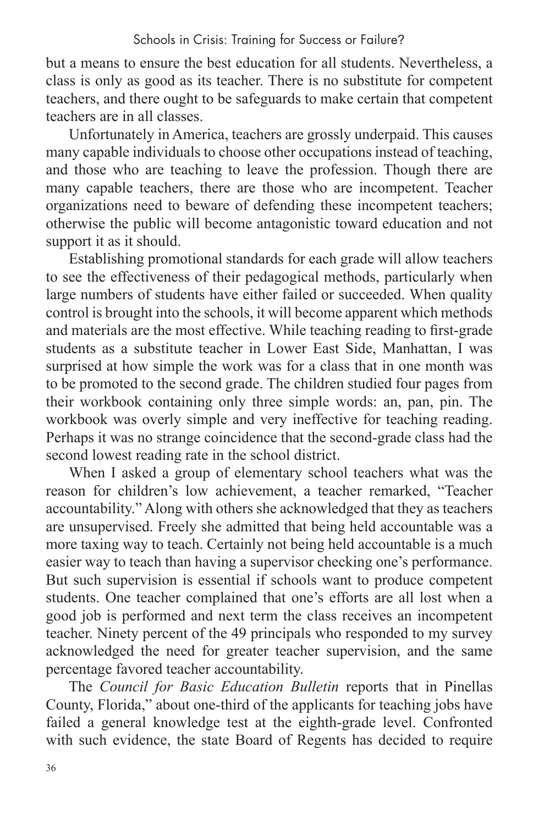but a means to ensure the best education for all students. Nevertheless, a class is only as good as its teacher. There is no substitute for competent teachers, and there ought to be safeguards to make certain that competent teachers are in all classes.

Unfortunately in America, teachers are grossly underpaid. This causes many capable individuals to choose other occupations instead of teaching, and those who are teaching to leave the profession. Though there are many capable teachers, there are those who are incompetent. Teacher organizations need to beware of defending these incompetent teachers; otherwise the public will become antagonistic toward education and not support it as it should.

Establishing promotional standards for each grade will allow teachers to see the effectiveness of their pedagogical methods, particularly when large numbers of students have either failed or succeeded. When quality control is brought into the schools, it will become apparent which methods and materials are the most effective. While teaching reading to first-grade students as a substitute teacher in Lower East Side, Manhattan, I was surprised at how simple the work was for a class that in one month was to be promoted to the second grade. The children studied four pages from their workbook containing only three simple words: an, pan, pin. The workbook was overly simple and very ineffective for teaching reading. Perhaps it was no strange coincidence that the second-grade class had the second lowest reading rate in the school district.

When I asked a group of elementary school teachers what was the reason for children's low achievement, a teacher remarked, "Teacher accountability." Along with others she acknowledged that they as teachers are unsupervised. Freely she admitted that being held accountable was a more taxing way to teach. Certainly not being held accountable is a much easier way to teach than having a supervisor checking one's performance. But such supervision is essential if schools want to produce competent students. One teacher complained that one's efforts are all lost when a good job is performed and next term the class receives an incompetent teacher. Ninety percent of the 49 principals who responded to my survey acknowledged the need for greater teacher supervision, and the same percentage favored teacher accountability.

The *Council for Basic Education Bulletin* reports that in Pinellas County, Florida," about one-third of the applicants for teaching jobs have failed a general knowledge test at the eighth-grade level. Confronted with such evidence, the state Board of Regents has decided to require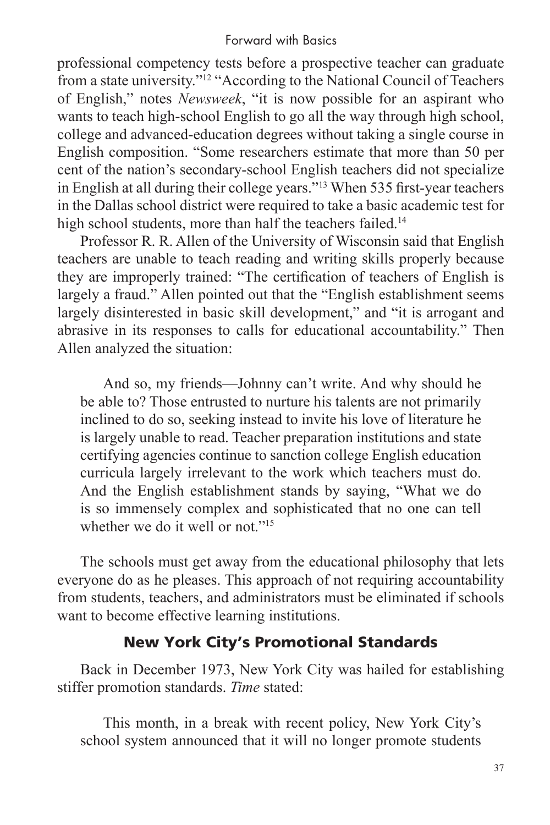professional competency tests before a prospective teacher can graduate from a state university."12 "According to the National Council of Teachers of English," notes *Newsweek*, "it is now possible for an aspirant who wants to teach high-school English to go all the way through high school, college and advanced-education degrees without taking a single course in English composition. "Some researchers estimate that more than 50 per cent of the nation's secondary-school English teachers did not specialize in English at all during their college years."13 When 535 first-year teachers in the Dallas school district were required to take a basic academic test for high school students, more than half the teachers failed.<sup>14</sup>

Professor R. R. Allen of the University of Wisconsin said that English teachers are unable to teach reading and writing skills properly because they are improperly trained: "The certification of teachers of English is largely a fraud." Allen pointed out that the "English establishment seems largely disinterested in basic skill development," and "it is arrogant and abrasive in its responses to calls for educational accountability." Then Allen analyzed the situation:

And so, my friends—Johnny can't write. And why should he be able to? Those entrusted to nurture his talents are not primarily inclined to do so, seeking instead to invite his love of literature he is largely unable to read. Teacher preparation institutions and state certifying agencies continue to sanction college English education curricula largely irrelevant to the work which teachers must do. And the English establishment stands by saying, "What we do is so immensely complex and sophisticated that no one can tell whether we do it well or not."<sup>15</sup>

The schools must get away from the educational philosophy that lets everyone do as he pleases. This approach of not requiring accountability from students, teachers, and administrators must be eliminated if schools want to become effective learning institutions.

## New York City's Promotional Standards

Back in December 1973, New York City was hailed for establishing stiffer promotion standards. *Time* stated:

This month, in a break with recent policy, New York City's school system announced that it will no longer promote students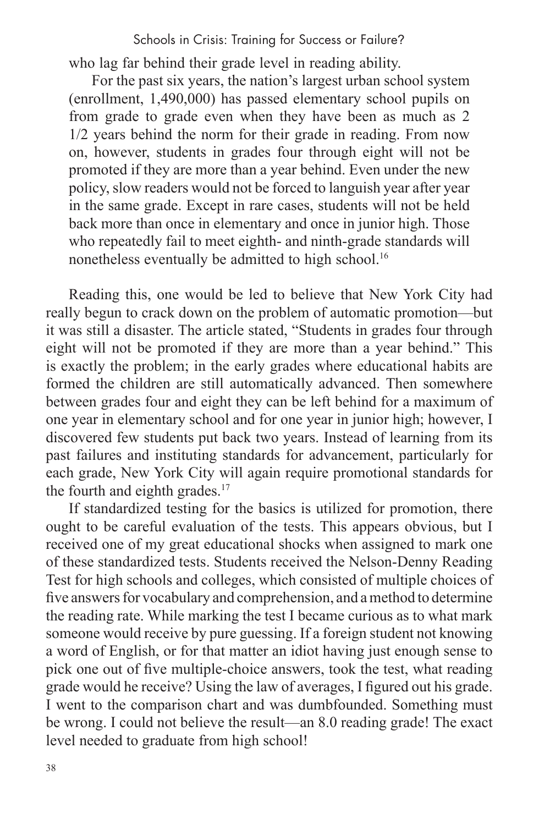### Schools in Crisis: Training for Success or Failure?

who lag far behind their grade level in reading ability.

For the past six years, the nation's largest urban school system (enrollment, 1,490,000) has passed elementary school pupils on from grade to grade even when they have been as much as 2 1/2 years behind the norm for their grade in reading. From now on, however, students in grades four through eight will not be promoted if they are more than a year behind. Even under the new policy, slow readers would not be forced to languish year after year in the same grade. Except in rare cases, students will not be held back more than once in elementary and once in junior high. Those who repeatedly fail to meet eighth- and ninth-grade standards will nonetheless eventually be admitted to high school.<sup>16</sup>

Reading this, one would be led to believe that New York City had really begun to crack down on the problem of automatic promotion—but it was still a disaster. The article stated, "Students in grades four through eight will not be promoted if they are more than a year behind." This is exactly the problem; in the early grades where educational habits are formed the children are still automatically advanced. Then somewhere between grades four and eight they can be left behind for a maximum of one year in elementary school and for one year in junior high; however, I discovered few students put back two years. Instead of learning from its past failures and instituting standards for advancement, particularly for each grade, New York City will again require promotional standards for the fourth and eighth grades.<sup>17</sup>

If standardized testing for the basics is utilized for promotion, there ought to be careful evaluation of the tests. This appears obvious, but I received one of my great educational shocks when assigned to mark one of these standardized tests. Students received the Nelson-Denny Reading Test for high schools and colleges, which consisted of multiple choices of five answers for vocabulary and comprehension, and a method to determine the reading rate. While marking the test I became curious as to what mark someone would receive by pure guessing. If a foreign student not knowing a word of English, or for that matter an idiot having just enough sense to pick one out of five multiple-choice answers, took the test, what reading grade would he receive? Using the law of averages, I figured out his grade. I went to the comparison chart and was dumbfounded. Something must be wrong. I could not believe the result—an 8.0 reading grade! The exact level needed to graduate from high school!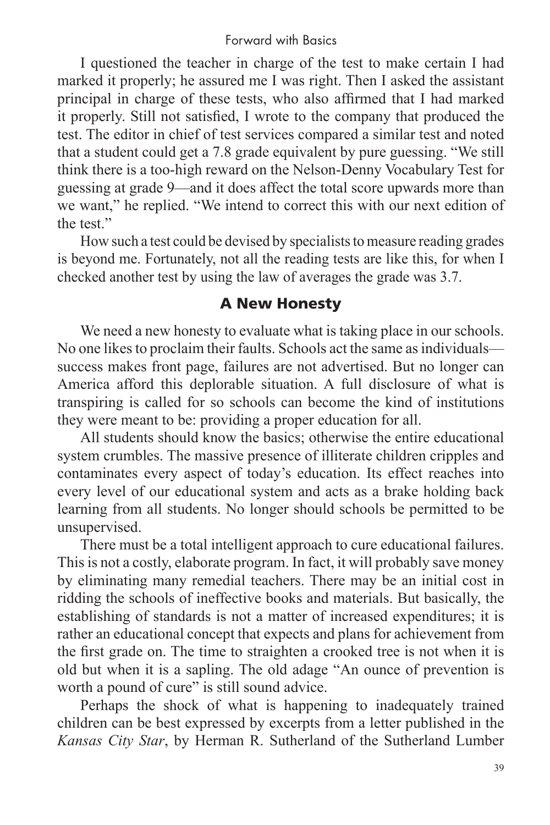I questioned the teacher in charge of the test to make certain I had marked it properly; he assured me I was right. Then I asked the assistant principal in charge of these tests, who also affirmed that I had marked it properly. Still not satisfied, I wrote to the company that produced the test. The editor in chief of test services compared a similar test and noted that a student could get a 7.8 grade equivalent by pure guessing. "We still think there is a too-high reward on the Nelson-Denny Vocabulary Test for guessing at grade 9—and it does affect the total score upwards more than we want," he replied. "We intend to correct this with our next edition of the test."

How such a test could be devised by specialists to measure reading grades is beyond me. Fortunately, not all the reading tests are like this, for when I checked another test by using the law of averages the grade was 3.7.

#### A New Honesty

We need a new honesty to evaluate what is taking place in our schools. No one likes to proclaim their faults. Schools act the same as individuals success makes front page, failures are not advertised. But no longer can America afford this deplorable situation. A full disclosure of what is transpiring is called for so schools can become the kind of institutions they were meant to be: providing a proper education for all.

All students should know the basics; otherwise the entire educational system crumbles. The massive presence of illiterate children cripples and contaminates every aspect of today's education. Its effect reaches into every level of our educational system and acts as a brake holding back learning from all students. No longer should schools be permitted to be unsupervised.

There must be a total intelligent approach to cure educational failures. This is not a costly, elaborate program. In fact, it will probably save money by eliminating many remedial teachers. There may be an initial cost in ridding the schools of ineffective books and materials. But basically, the establishing of standards is not a matter of increased expenditures; it is rather an educational concept that expects and plans for achievement from the first grade on. The time to straighten a crooked tree is not when it is old but when it is a sapling. The old adage "An ounce of prevention is worth a pound of cure" is still sound advice.

Perhaps the shock of what is happening to inadequately trained children can be best expressed by excerpts from a letter published in the *Kansas City Star*, by Herman R. Sutherland of the Sutherland Lumber